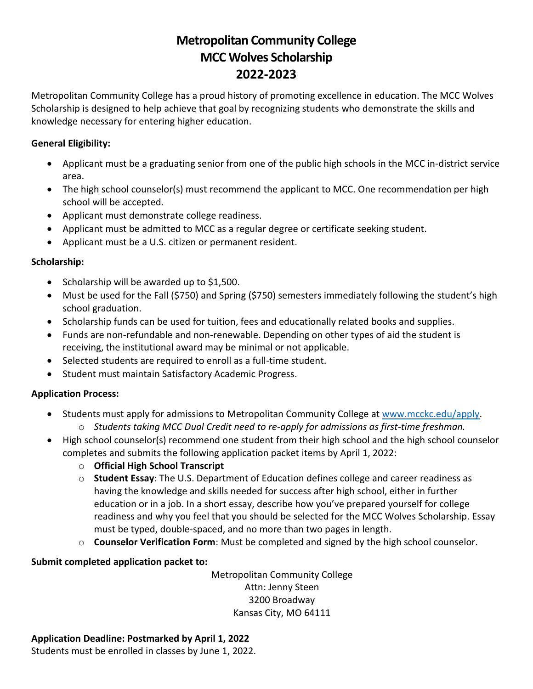## **Metropolitan Community College MCC Wolves Scholarship 2022-2023**

Metropolitan Community College has a proud history of promoting excellence in education. The MCC Wolves Scholarship is designed to help achieve that goal by recognizing students who demonstrate the skills and knowledge necessary for entering higher education.

#### **General Eligibility:**

- Applicant must be a graduating senior from one of the public high schools in the MCC in-district service area.
- The high school counselor(s) must recommend the applicant to MCC. One recommendation per high school will be accepted.
- Applicant must demonstrate college readiness.
- Applicant must be admitted to MCC as a regular degree or certificate seeking student.
- Applicant must be a U.S. citizen or permanent resident.

#### **Scholarship:**

- Scholarship will be awarded up to \$1,500.
- Must be used for the Fall (\$750) and Spring (\$750) semesters immediately following the student's high school graduation.
- Scholarship funds can be used for tuition, fees and educationally related books and supplies.
- Funds are non-refundable and non-renewable. Depending on other types of aid the student is receiving, the institutional award may be minimal or not applicable.
- Selected students are required to enroll as a full-time student.
- Student must maintain Satisfactory Academic Progress.

#### **Application Process:**

- Students must apply for admissions to Metropolitan Community College at [www.mcckc.edu/apply.](http://www.mcckc.edu/apply)
	- o *Students taking MCC Dual Credit need to re-apply for admissions as first-time freshman.*
- High school counselor(s) recommend one student from their high school and the high school counselor completes and submits the following application packet items by April 1, 2022:
	- o **Official High School Transcript**
	- o **Student Essay**: The U.S. Department of Education defines college and career readiness as having the knowledge and skills needed for success after high school, either in further education or in a job. In a short essay, describe how you've prepared yourself for college readiness and why you feel that you should be selected for the MCC Wolves Scholarship. Essay must be typed, double-spaced, and no more than two pages in length.
	- o **Counselor Verification Form**: Must be completed and signed by the high school counselor.

#### **Submit completed application packet to:**

Metropolitan Community College Attn: Jenny Steen 3200 Broadway Kansas City, MO 64111

### **Application Deadline: Postmarked by April 1, 2022**

Students must be enrolled in classes by June 1, 2022.